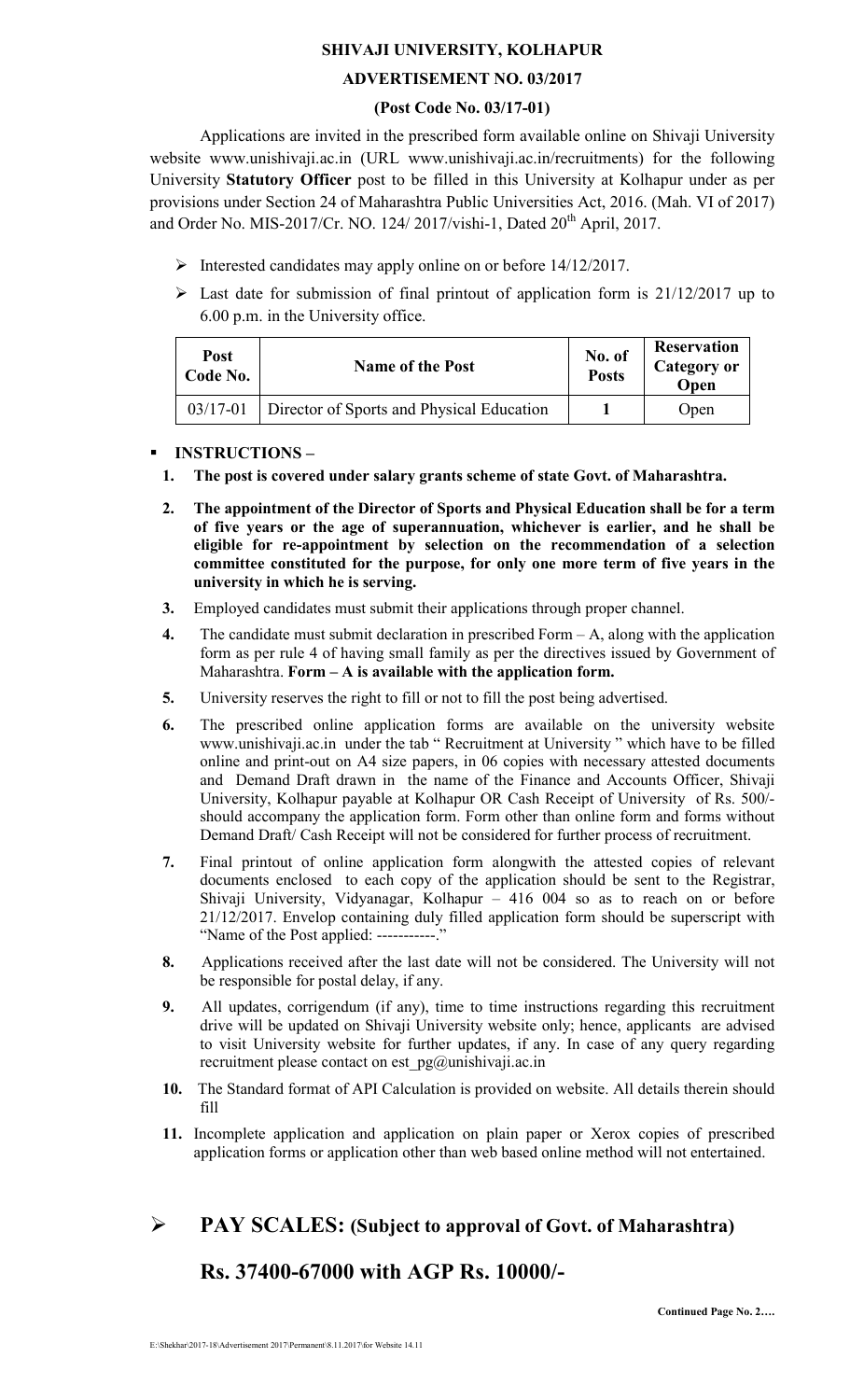## SHIVAJI UNIVERSITY, KOLHAPUR

## ADVERTISEMENT NO. 03/2017

### (Post Code No. 03/17-01)

Applications are invited in the prescribed form available online on Shivaji University website www.unishivaji.ac.in (URL www.unishivaji.ac.in/recruitments) for the following University Statutory Officer post to be filled in this University at Kolhapur under as per provisions under Section 24 of Maharashtra Public Universities Act, 2016. (Mah. VI of 2017) and Order No. MIS-2017/Cr. NO. 124/ 2017/vishi-1, Dated 20<sup>th</sup> April, 2017.

- $\triangleright$  Interested candidates may apply online on or before 14/12/2017.
- $\triangleright$  Last date for submission of final printout of application form is 21/12/2017 up to 6.00 p.m. in the University office.

| Post<br>Code No. | <b>Name of the Post</b>                   | No. of<br><b>Posts</b> | <b>Reservation</b><br><b>Category or</b><br>Open |
|------------------|-------------------------------------------|------------------------|--------------------------------------------------|
| $03/17 - 01$     | Director of Sports and Physical Education |                        | Open                                             |

#### -INSTRUCTIONS –

- 1. The post is covered under salary grants scheme of state Govt. of Maharashtra.
- 2. The appointment of the Director of Sports and Physical Education shall be for a term of five years or the age of superannuation, whichever is earlier, and he shall be eligible for re-appointment by selection on the recommendation of a selection committee constituted for the purpose, for only one more term of five years in the university in which he is serving.
- 3. Employed candidates must submit their applications through proper channel.
- 4. The candidate must submit declaration in prescribed Form  $-A$ , along with the application form as per rule 4 of having small family as per the directives issued by Government of Maharashtra. Form  $-A$  is available with the application form.
- 5. University reserves the right to fill or not to fill the post being advertised.
- 6. The prescribed online application forms are available on the university website www.unishivaji.ac.in under the tab " Recruitment at University " which have to be filled online and print-out on A4 size papers, in 06 copies with necessary attested documents and Demand Draft drawn in the name of the Finance and Accounts Officer, Shivaji University, Kolhapur payable at Kolhapur OR Cash Receipt of University of Rs. 500/ should accompany the application form. Form other than online form and forms without Demand Draft/ Cash Receipt will not be considered for further process of recruitment.
- 7. Final printout of online application form alongwith the attested copies of relevant documents enclosed to each copy of the application should be sent to the Registrar, Shivaji University, Vidyanagar, Kolhapur – 416 004 so as to reach on or before 21/12/2017. Envelop containing duly filled application form should be superscript with "Name of the Post applied: -----------."
- 8. Applications received after the last date will not be considered. The University will not be responsible for postal delay, if any.
- 9. All updates, corrigendum (if any), time to time instructions regarding this recruitment drive will be updated on Shivaji University website only; hence, applicants are advised to visit University website for further updates, if any. In case of any query regarding recruitment please contact on est\_pg@unishivaji.ac.in
- 10. The Standard format of API Calculation is provided on website. All details therein should fill
- 11. Incomplete application and application on plain paper or Xerox copies of prescribed application forms or application other than web based online method will not entertained.

# $\triangleright$  PAY SCALES: (Subject to approval of Govt. of Maharashtra)

## Rs. 37400-67000 with AGP Rs. 10000/-